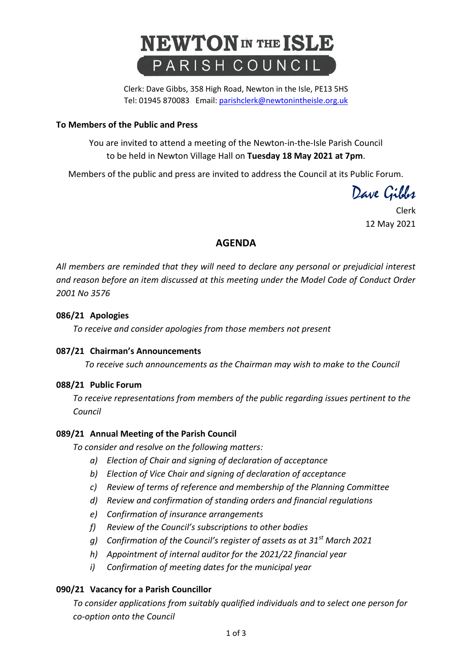

Clerk: Dave Gibbs, 358 High Road, Newton in the Isle, PE13 5HS Tel: 01945 870083 Email[: parishclerk@newtonintheisle.org.uk](mailto:parishclerk@newtonintheisle.org.uk)

#### **To Members of the Public and Press**

You are invited to attend a meeting of the Newton-in-the-Isle Parish Council to be held in Newton Village Hall on **Tuesday 18 May 2021 at 7pm**.

Members of the public and press are invited to address the Council at its Public Forum.

Dave Gibbs

Clerk 12 May 2021

# **AGENDA**

*All members are reminded that they will need to declare any personal or prejudicial interest and reason before an item discussed at this meeting under the Model Code of Conduct Order 2001 No 3576*

### **086/21 Apologies**

*To receive and consider apologies from those members not present*

#### **087/21 Chairman's Announcements**

*To receive such announcements as the Chairman may wish to make to the Council*

#### **088/21 Public Forum**

*To receive representations from members of the public regarding issues pertinent to the Council*

# **089/21 Annual Meeting of the Parish Council**

*To consider and resolve on the following matters:*

- *a) Election of Chair and signing of declaration of acceptance*
- *b) Election of Vice Chair and signing of declaration of acceptance*
- *c) Review of terms of reference and membership of the Planning Committee*
- *d) Review and confirmation of standing orders and financial regulations*
- *e) Confirmation of insurance arrangements*
- *f) Review of the Council's subscriptions to other bodies*
- *g) Confirmation of the Council's register of assets as at 31st March 2021*
- *h) Appointment of internal auditor for the 2021/22 financial year*
- *i) Confirmation of meeting dates for the municipal year*

# **090/21 Vacancy for a Parish Councillor**

*To consider applications from suitably qualified individuals and to select one person for co-option onto the Council*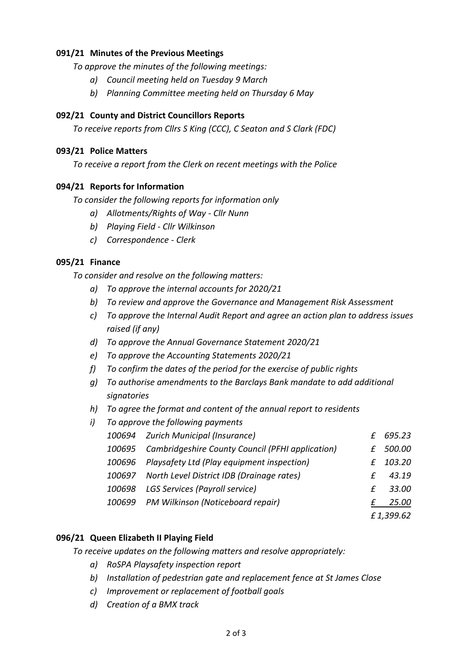# **091/21 Minutes of the Previous Meetings**

*To approve the minutes of the following meetings:*

- *a) Council meeting held on Tuesday 9 March*
- *b) Planning Committee meeting held on Thursday 6 May*

# **092/21 County and District Councillors Reports**

*To receive reports from Cllrs S King (CCC), C Seaton and S Clark (FDC)*

#### **093/21 Police Matters**

*To receive a report from the Clerk on recent meetings with the Police*

### **094/21 Reports for Information**

*To consider the following reports for information only*

- *a) Allotments/Rights of Way - Cllr Nunn*
- *b) Playing Field - Cllr Wilkinson*
- *c) Correspondence - Clerk*

# **095/21 Finance**

*To consider and resolve on the following matters:*

- *a) To approve the internal accounts for 2020/21*
- *b) To review and approve the Governance and Management Risk Assessment*
- *c) To approve the Internal Audit Report and agree an action plan to address issues raised (if any)*
- *d) To approve the Annual Governance Statement 2020/21*
- *e) To approve the Accounting Statements 2020/21*
- *f) To confirm the dates of the period for the exercise of public rights*
- *g) To authorise amendments to the Barclays Bank mandate to add additional signatories*
- *h) To agree the format and content of the annual report to residents*
- *i) To approve the following payments*
	- *100694 Zurich Municipal (Insurance) £ 695.23 100695 Cambridgeshire County Council (PFHI application) £ 500.00 100696 Playsafety Ltd (Play equipment inspection) £ 103.20 100697 North Level District IDB (Drainage rates) £ 43.19 100698 LGS Services (Payroll service) £ 33.00 100699 PM Wilkinson (Noticeboard repair) £ 25.00 £ 1,399.62*

# **096/21 Queen Elizabeth II Playing Field**

*To receive updates on the following matters and resolve appropriately:*

- *a) RoSPA Playsafety inspection report*
- *b) Installation of pedestrian gate and replacement fence at St James Close*
- *c) Improvement or replacement of football goals*
- *d) Creation of a BMX track*